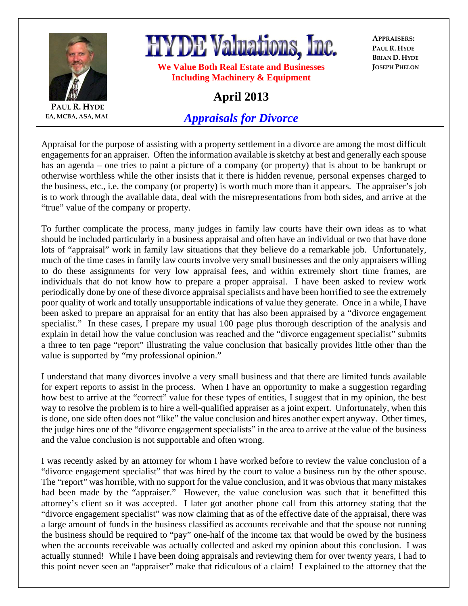

**PAUL R. HYDE EA, MCBA, ASA, MAI** **HYDE Valuations, Inc.** 

**We Value Both Real Estate and Businesses Including Machinery & Equipment** 

**APPRAISERS: PAUL R. HYDE BRIAN D. HYDE JOSEPH PHELON**

## **April 2013**

## *Appraisals for Divorce*

Appraisal for the purpose of assisting with a property settlement in a divorce are among the most difficult engagements for an appraiser. Often the information available is sketchy at best and generally each spouse has an agenda – one tries to paint a picture of a company (or property) that is about to be bankrupt or otherwise worthless while the other insists that it there is hidden revenue, personal expenses charged to the business, etc., i.e. the company (or property) is worth much more than it appears. The appraiser's job is to work through the available data, deal with the misrepresentations from both sides, and arrive at the "true" value of the company or property.

To further complicate the process, many judges in family law courts have their own ideas as to what should be included particularly in a business appraisal and often have an individual or two that have done lots of "appraisal" work in family law situations that they believe do a remarkable job. Unfortunately, much of the time cases in family law courts involve very small businesses and the only appraisers willing to do these assignments for very low appraisal fees, and within extremely short time frames, are individuals that do not know how to prepare a proper appraisal. I have been asked to review work periodically done by one of these divorce appraisal specialists and have been horrified to see the extremely poor quality of work and totally unsupportable indications of value they generate. Once in a while, I have been asked to prepare an appraisal for an entity that has also been appraised by a "divorce engagement specialist." In these cases, I prepare my usual 100 page plus thorough description of the analysis and explain in detail how the value conclusion was reached and the "divorce engagement specialist" submits a three to ten page "report" illustrating the value conclusion that basically provides little other than the value is supported by "my professional opinion."

I understand that many divorces involve a very small business and that there are limited funds available for expert reports to assist in the process. When I have an opportunity to make a suggestion regarding how best to arrive at the "correct" value for these types of entities, I suggest that in my opinion, the best way to resolve the problem is to hire a well-qualified appraiser as a joint expert. Unfortunately, when this is done, one side often does not "like" the value conclusion and hires another expert anyway. Other times, the judge hires one of the "divorce engagement specialists" in the area to arrive at the value of the business and the value conclusion is not supportable and often wrong.

I was recently asked by an attorney for whom I have worked before to review the value conclusion of a "divorce engagement specialist" that was hired by the court to value a business run by the other spouse. The "report" was horrible, with no support for the value conclusion, and it was obvious that many mistakes had been made by the "appraiser." However, the value conclusion was such that it benefitted this attorney's client so it was accepted. I later got another phone call from this attorney stating that the "divorce engagement specialist" was now claiming that as of the effective date of the appraisal, there was a large amount of funds in the business classified as accounts receivable and that the spouse not running the business should be required to "pay" one-half of the income tax that would be owed by the business when the accounts receivable was actually collected and asked my opinion about this conclusion. I was actually stunned! While I have been doing appraisals and reviewing them for over twenty years, I had to this point never seen an "appraiser" make that ridiculous of a claim! I explained to the attorney that the